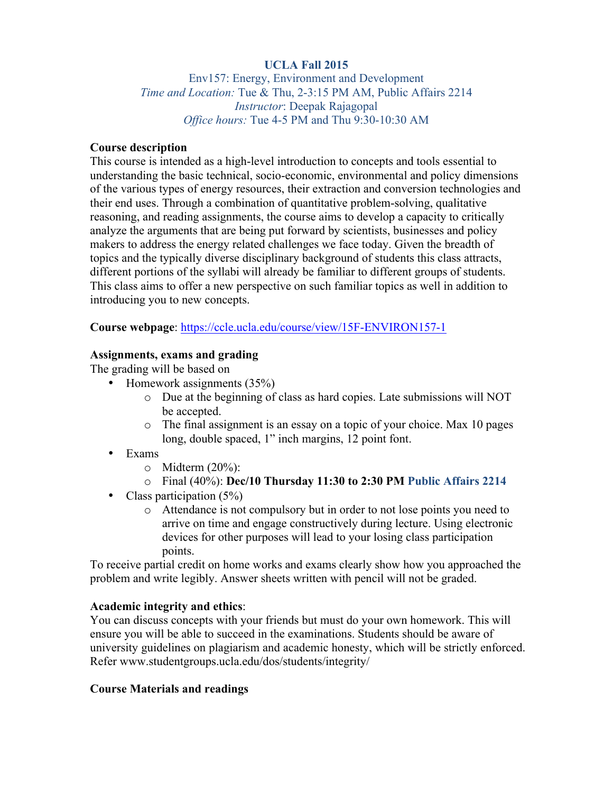# **UCLA Fall 2015**

Env157: Energy, Environment and Development *Time and Location:* Tue & Thu, 2-3:15 PM AM, Public Affairs 2214 *Instructor*: Deepak Rajagopal *Office hours:* Tue 4-5 PM and Thu 9:30-10:30 AM

#### **Course description**

This course is intended as a high-level introduction to concepts and tools essential to understanding the basic technical, socio-economic, environmental and policy dimensions of the various types of energy resources, their extraction and conversion technologies and their end uses. Through a combination of quantitative problem-solving, qualitative reasoning, and reading assignments, the course aims to develop a capacity to critically analyze the arguments that are being put forward by scientists, businesses and policy makers to address the energy related challenges we face today. Given the breadth of topics and the typically diverse disciplinary background of students this class attracts, different portions of the syllabi will already be familiar to different groups of students. This class aims to offer a new perspective on such familiar topics as well in addition to introducing you to new concepts.

#### **Course webpage**: https://ccle.ucla.edu/course/view/15F-ENVIRON157-1

#### **Assignments, exams and grading**

The grading will be based on

- Homework assignments (35%)
	- o Due at the beginning of class as hard copies. Late submissions will NOT be accepted.
	- o The final assignment is an essay on a topic of your choice. Max 10 pages long, double spaced, 1" inch margins, 12 point font.
- Exams
	- $\circ$  Midterm (20%):
	- o Final (40%): **Dec/10 Thursday 11:30 to 2:30 PM Public Affairs 2214**
- Class participation (5%)
	- o Attendance is not compulsory but in order to not lose points you need to arrive on time and engage constructively during lecture. Using electronic devices for other purposes will lead to your losing class participation points.

To receive partial credit on home works and exams clearly show how you approached the problem and write legibly. Answer sheets written with pencil will not be graded.

## **Academic integrity and ethics**:

You can discuss concepts with your friends but must do your own homework. This will ensure you will be able to succeed in the examinations. Students should be aware of university guidelines on plagiarism and academic honesty, which will be strictly enforced. Refer www.studentgroups.ucla.edu/dos/students/integrity/

## **Course Materials and readings**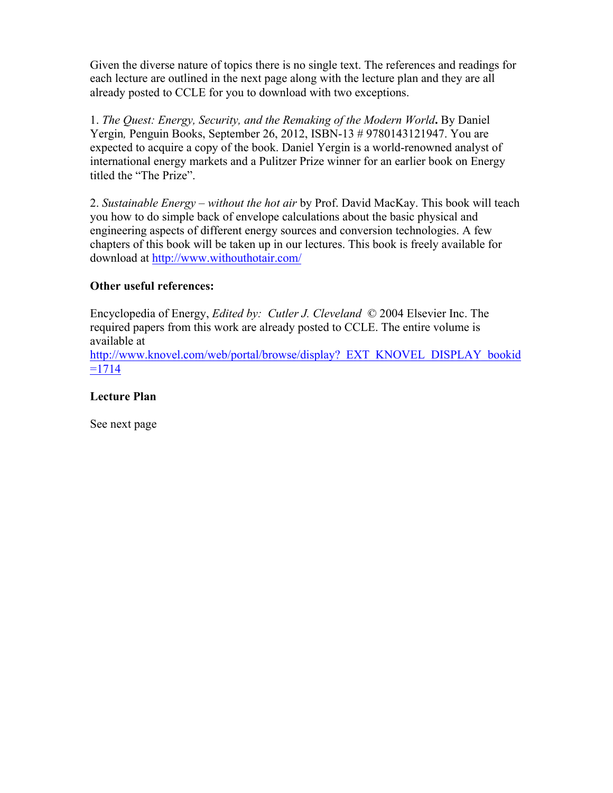Given the diverse nature of topics there is no single text. The references and readings for each lecture are outlined in the next page along with the lecture plan and they are all already posted to CCLE for you to download with two exceptions.

1. *The Quest: Energy, Security, and the Remaking of the Modern World***.** By Daniel Yergin*,* Penguin Books, September 26, 2012, ISBN-13 # 9780143121947. You are expected to acquire a copy of the book. Daniel Yergin is a world-renowned analyst of international energy markets and a Pulitzer Prize winner for an earlier book on Energy titled the "The Prize".

2. *Sustainable Energy – without the hot air* by Prof. David MacKay. This book will teach you how to do simple back of envelope calculations about the basic physical and engineering aspects of different energy sources and conversion technologies. A few chapters of this book will be taken up in our lectures. This book is freely available for download at http://www.withouthotair.com/

# **Other useful references:**

Encyclopedia of Energy, *Edited by: Cutler J. Cleveland* © 2004 Elsevier Inc. The required papers from this work are already posted to CCLE. The entire volume is available at

http://www.knovel.com/web/portal/browse/display? EXT\_KNOVEL\_DISPLAY\_bookid  $=1714$ 

## **Lecture Plan**

See next page